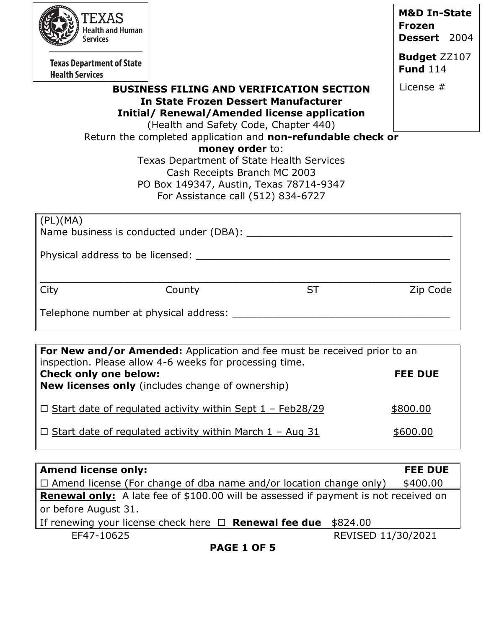| EXAS                                                       |        |                                                                                                                                                                                                                                                                |                                                          |
|------------------------------------------------------------|--------|----------------------------------------------------------------------------------------------------------------------------------------------------------------------------------------------------------------------------------------------------------------|----------------------------------------------------------|
| <b>Health and Human</b><br><b>Services</b>                 |        |                                                                                                                                                                                                                                                                | <b>M&amp;D In-State</b><br><b>Frozen</b><br>Dessert 2004 |
| <b>Texas Department of State</b><br><b>Health Services</b> |        |                                                                                                                                                                                                                                                                | <b>Budget ZZ107</b><br><b>Fund 114</b>                   |
|                                                            |        | <b>BUSINESS FILING AND VERIFICATION SECTION</b><br><b>In State Frozen Dessert Manufacturer</b><br><b>Initial/ Renewal/Amended license application</b><br>(Health and Safety Code, Chapter 440)<br>Return the completed application and non-refundable check or | License #                                                |
|                                                            |        | money order to:<br>Texas Department of State Health Services<br>Cash Receipts Branch MC 2003<br>PO Box 149347, Austin, Texas 78714-9347<br>For Assistance call (512) 834-6727                                                                                  |                                                          |
| (PL)(MA)                                                   |        |                                                                                                                                                                                                                                                                |                                                          |
|                                                            |        |                                                                                                                                                                                                                                                                |                                                          |
|                                                            |        |                                                                                                                                                                                                                                                                |                                                          |
| City                                                       | County | <b>ST</b>                                                                                                                                                                                                                                                      | Zip Code                                                 |

| inspection. Please allow 4-6 weeks for processing time.<br><b>Check only one below:</b><br><b>New licenses only</b> (includes change of ownership) | <b>FEE DUE</b> |
|----------------------------------------------------------------------------------------------------------------------------------------------------|----------------|
| $\Box$ Start date of regulated activity within Sept 1 - Feb28/29                                                                                   | \$800.00       |
| $\Box$ Start date of regulated activity within March 1 - Aug 31                                                                                    | \$600.00       |

| <b>Amend license only:</b>                                                                 | <b>FEE DUE</b>     |  |
|--------------------------------------------------------------------------------------------|--------------------|--|
| $\Box$ Amend license (For change of dba name and/or location change only)                  | \$400.00           |  |
| <b>Renewal only:</b> A late fee of \$100.00 will be assessed if payment is not received on |                    |  |
| or before August 31.                                                                       |                    |  |
| If renewing your license check here $\Box$ <b>Renewal fee due</b><br>\$824.00              |                    |  |
| EF47-10625                                                                                 | REVISED 11/30/2021 |  |
| <b>PAGE 1 OF 5</b>                                                                         |                    |  |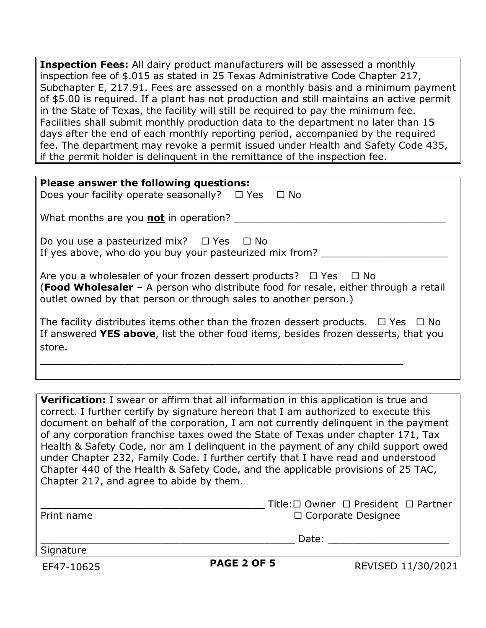**Inspection Fees:** All dairy product manufacturers will be assessed a monthly inspection fee of \$.015 as stated in 25 Texas Administrative Code Chapter 217, Subchapter E, 217.91. Fees are assessed on a monthly basis and a minimum payment of \$5.00 is required. If a plant has not production and still maintains an active permit in the State of Texas, the facility will still be required to pay the minimum fee. Facilities shall submit monthly production data to the department no later than 15 days after the end of each monthly reporting period, accompanied by the required fee. The department may revoke a permit issued under Health and Safety Code 435, if the permit holder is delinquent in the remittance of the inspection fee.

**Verification:** I swear or affirm that all information in this application is true and correct. I further certify by signature hereon that I am authorized to execute this document on behalf of the corporation, I am not currently delinquent in the payment of any corporation franchise taxes owed the State of Texas under chapter 171, Tax Health & Safety Code, nor am I delinquent in the payment of any child support owed under Chapter 232, Family Code. I further certify that I have read and understood Chapter 440 of the Health & Safety Code, and the applicable provisions of 25 TAC, Chapter 217, and agree to abide by them.

|            | Title: $\Box$ Owner $\Box$ President $\Box$ Partner |
|------------|-----------------------------------------------------|
| Print name | □ Corporate Designee                                |

Signature

**PAGE 2 OF 5** REVISED 11/30/2021

 $\Box$  Date:  $\Box$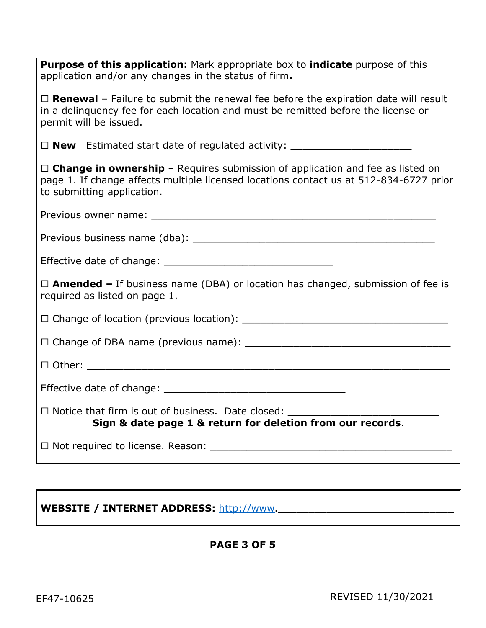| Purpose of this application: Mark appropriate box to indicate purpose of this<br>application and/or any changes in the status of firm.                                                                          |
|-----------------------------------------------------------------------------------------------------------------------------------------------------------------------------------------------------------------|
| $\Box$ <b>Renewal</b> - Failure to submit the renewal fee before the expiration date will result<br>in a delinguency fee for each location and must be remitted before the license or<br>permit will be issued. |
|                                                                                                                                                                                                                 |
| $\Box$ Change in ownership - Requires submission of application and fee as listed on<br>page 1. If change affects multiple licensed locations contact us at 512-834-6727 prior<br>to submitting application.    |
|                                                                                                                                                                                                                 |
|                                                                                                                                                                                                                 |
|                                                                                                                                                                                                                 |
| $\Box$ <b>Amended –</b> If business name (DBA) or location has changed, submission of fee is<br>required as listed on page 1.                                                                                   |
|                                                                                                                                                                                                                 |
|                                                                                                                                                                                                                 |
|                                                                                                                                                                                                                 |
|                                                                                                                                                                                                                 |
| $\Box$ Notice that firm is out of business. Date closed:<br>Sign & date page 1 & return for deletion from our records.                                                                                          |
|                                                                                                                                                                                                                 |

# WEBSITE / INTERNET ADDRESS: [http://www](http://www/).

### **PAGE 3 OF 5**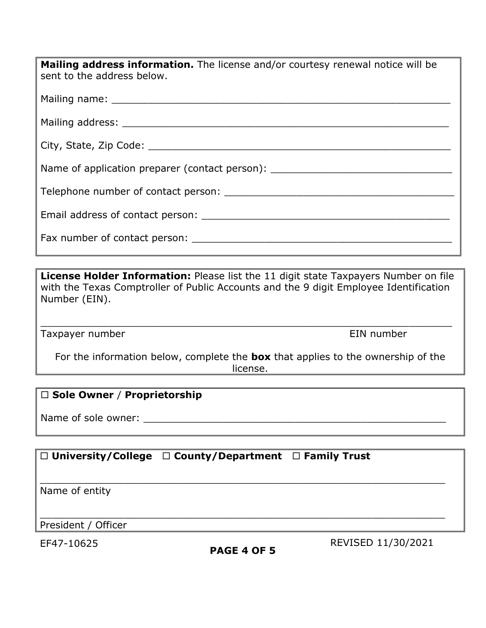| <b>Mailing address information.</b> The license and/or courtesy renewal notice will be<br>sent to the address below.                                                                                                           |
|--------------------------------------------------------------------------------------------------------------------------------------------------------------------------------------------------------------------------------|
|                                                                                                                                                                                                                                |
|                                                                                                                                                                                                                                |
|                                                                                                                                                                                                                                |
| Name of application preparer (contact person): _________________________________                                                                                                                                               |
|                                                                                                                                                                                                                                |
|                                                                                                                                                                                                                                |
| Fax number of contact person: The contract person of the contract person of the contract of the contract of the contract of the contract of the contract of the contract of the contract of the contract of the contract of th |

**License Holder Information:** Please list the 11 digit state Taxpayers Number on file with the Texas Comptroller of Public Accounts and the 9 digit Employee Identification Number (EIN).

\_\_\_\_\_\_\_\_\_\_\_\_\_\_\_\_\_\_\_\_\_\_\_\_\_\_\_\_\_\_\_\_\_\_\_\_\_\_\_\_\_\_\_\_\_\_\_\_\_\_\_\_\_\_\_\_\_\_\_\_\_\_\_\_\_\_\_\_

Taxpayer number **EIN** number

For the information below, complete the **box** that applies to the ownership of the license.

### **Sole Owner** / **Proprietorship**

Name of sole owner: \_\_\_\_\_\_\_\_\_\_\_\_\_\_\_\_\_\_\_\_\_\_\_\_\_\_\_\_\_\_\_\_\_\_\_\_\_\_\_\_\_\_\_\_\_\_\_\_\_\_

## **University/College County/Department Family Trust**

Name of entity

\_\_\_\_\_\_\_\_\_\_\_\_\_\_\_\_\_\_\_\_\_\_\_\_\_\_\_\_\_\_\_\_\_\_\_\_\_\_\_\_\_\_\_\_\_\_\_\_\_\_\_\_\_\_\_\_\_\_\_\_\_\_\_\_\_\_\_ President / Officer

\_\_\_\_\_\_\_\_\_\_\_\_\_\_\_\_\_\_\_\_\_\_\_\_\_\_\_\_\_\_\_\_\_\_\_\_\_\_\_\_\_\_\_\_\_\_\_\_\_\_\_\_\_\_\_\_\_\_\_\_\_\_\_\_\_\_\_